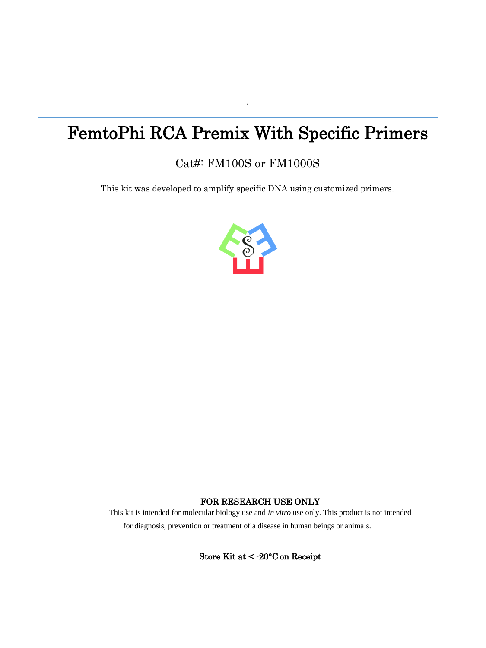# FemtoPhi RCA Premix With Specific Primers

·

## Cat#: FM100S or FM1000S

This kit was developed to amplify specific DNA using customized primers.



#### FOR RESEARCH USE ONLY

This kit is intended for molecular biology use and *in vitro* use only. This product is not intended for diagnosis, prevention or treatment of a disease in human beings or animals.

Store Kit at < -20°C on Receipt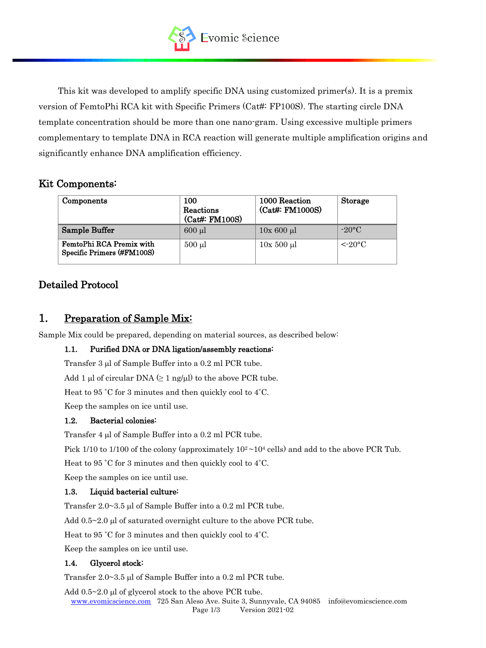

This kit was developed to amplify specific DNA using customized primer(s). It is a premix version of FemtoPhi RCA kit with Specific Primers (Cat#: FP100S). The starting circle DNA template concentration should be more than one nano-gram. Using excessive multiple primers complementary to template DNA in RCA reaction will generate multiple amplification origins and significantly enhance DNA amplification efficiency.

### Kit Components:

| Components                                             | 100<br>Reactions<br>(Cat#: FM100S) | 1000 Reaction<br>(Cat#: FM1000S) | Storage               |
|--------------------------------------------------------|------------------------------------|----------------------------------|-----------------------|
| Sample Buffer                                          | $600$ $\mu$                        | $10x\ 600\ \mu l$                | $-20$ °C              |
| FemtoPhi RCA Premix with<br>Specific Primers (#FM100S) | $500 \mu l$                        | $10x500 \mu l$                   | $\leq$ 20 $\degree$ C |

## Detailed Protocol

## 1. Preparation of Sample Mix:

Sample Mix could be prepared, depending on material sources, as described below:

#### 1.1. Purified DNA or DNA ligation/assembly reactions:

Transfer  $3 \mu$ l of Sample Buffer into a 0.2 ml PCR tube.

Add 1 µl of circular DNA  $(≥ 1$  ng/µl) to the above PCR tube.

Heat to 95 ˚C for 3 minutes and then quickly cool to 4˚C.

Keep the samples on ice until use.

#### 1.2. Bacterial colonies:

Transfer  $4 \mu l$  of Sample Buffer into a 0.2 ml PCR tube.

Pick 1/10 to 1/100 of the colony (approximately  $10^2 \sim 10^4$  cells) and add to the above PCR Tub.

Heat to 95 ˚C for 3 minutes and then quickly cool to 4˚C.

Keep the samples on ice until use.

#### 1.3. Liquid bacterial culture:

Transfer  $2.0 \sim 3.5$  µl of Sample Buffer into a  $0.2$  ml PCR tube.

Add  $0.5~2.0$  µl of saturated overnight culture to the above PCR tube.

Heat to 95 ˚C for 3 minutes and then quickly cool to 4˚C.

Keep the samples on ice until use.

#### 1.4. Glycerol stock:

Transfer  $2.0 \sim 3.5$  ul of Sample Buffer into a  $0.2$  ml PCR tube.

Add  $0.5~2.0$  µl of glycerol stock to the above PCR tube.

[www.evomicscience.com](http://www.evomicscience.com/) 725 San Aleso Ave. Suite 3, Sunnyvale, CA 94085 info@evomicscience.com Page 1/3 Version 2021-02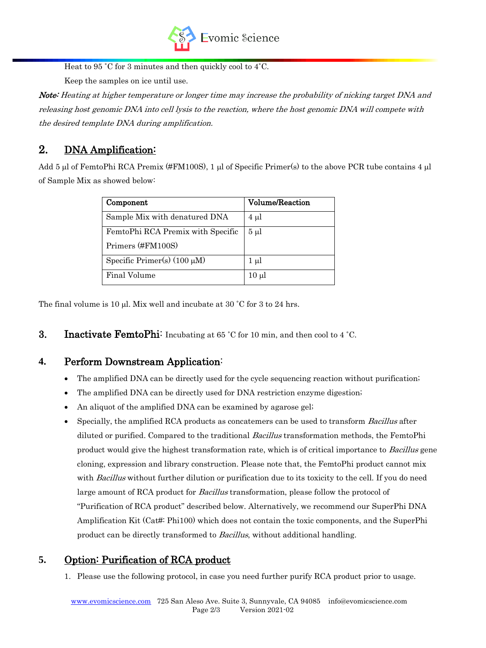

Heat to 95 ˚C for 3 minutes and then quickly cool to 4˚C.

Keep the samples on ice until use.

Note: Heating at higher temperature or longer time may increase the probability of nicking target DNA and releasing host genomic DNA into cell lysis to the reaction, where the host genomic DNA will compete with the desired template DNA during amplification.

## 2. DNA Amplification:

Add  $5 \mu$ l of FemtoPhi RCA Premix (#FM100S), 1  $\mu$ l of Specific Primer(s) to the above PCR tube contains 4  $\mu$ l of Sample Mix as showed below:

| Component                         | <b>Volume/Reaction</b> |  |
|-----------------------------------|------------------------|--|
| Sample Mix with denatured DNA     | $4 \mu l$              |  |
| FemtoPhi RCA Premix with Specific | $5 \mu$                |  |
| Primers (#FM100S)                 |                        |  |
| Specific Primer(s) $(100 \mu M)$  | $1 \mu l$              |  |
| Final Volume                      | $10 \mu$               |  |

The final volume is 10  $\mu$ l. Mix well and incubate at 30 °C for 3 to 24 hrs.

**3.** Inactivate FemtoPhi: Incubating at 65 °C for 10 min, and then cool to 4 °C.

## **4.** Perform Downstream Application:

- The amplified DNA can be directly used for the cycle sequencing reaction without purification;
- The amplified DNA can be directly used for DNA restriction enzyme digestion;
- An aliquot of the amplified DNA can be examined by agarose gel;
- Specially, the amplified RCA products as concatemers can be used to transform Bacillus after diluted or purified. Compared to the traditional Bacillus transformation methods, the FemtoPhi product would give the highest transformation rate, which is of critical importance to *Bacillus* gene cloning, expression and library construction. Please note that, the FemtoPhi product cannot mix with *Bacillus* without further dilution or purification due to its toxicity to the cell. If you do need large amount of RCA product for *Bacillus* transformation, please follow the protocol of "Purification of RCA product" described below. Alternatively, we recommend our SuperPhi DNA Amplification Kit (Cat#: Phi100) which does not contain the toxic components, and the SuperPhi product can be directly transformed to Bacillus, without additional handling.

## **5.** Option: Purification of RCA product

1. Please use the following protocol, in case you need further purify RCA product prior to usage.